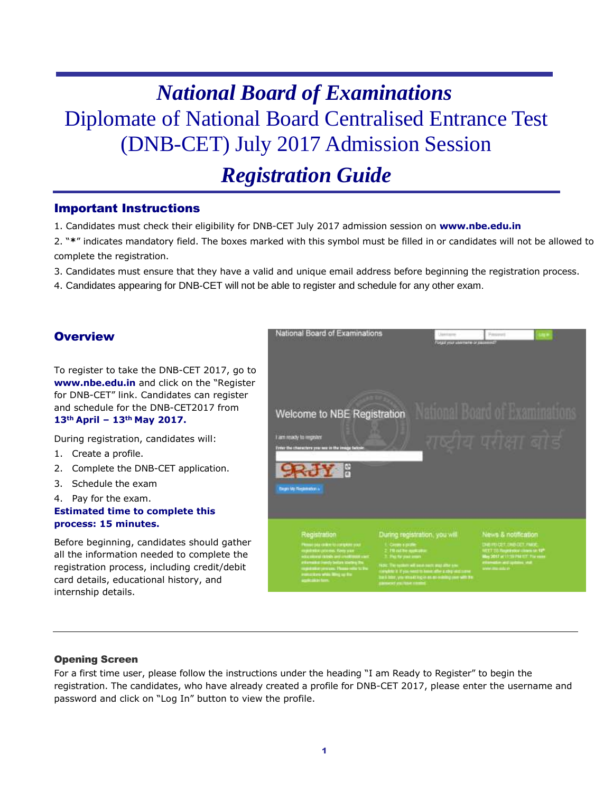# *National Board of Examinations* Diplomate of National Board Centralised Entrance Test (DNB-CET) July 2017 Admission Session

# *Registration Guide*

### Important Instructions

- 1. Candidates must check their eligibility for DNB-CET July 2017 admission session on **[www.nbe.edu.in](http://www.nbe.edu.in/)**
- 2. "**\***" indicates mandatory field. The boxes marked with this symbol must be filled in or candidates will not be allowed to complete the registration.
- 3. Candidates must ensure that they have a valid and unique email address before beginning the registration process.
- 4. Candidates appearing for DNB-CET will not be able to register and schedule for any other exam.

### **Overview**

To register to take the DNB-CET 2017, go to **[www.nbe.edu.in](http://www.nbe.edu.in/)** and click on the "Register for DNB-CET" link. Candidates can register and schedule for the DNB-CET2017 from **13th April – 13th May 2017.**

During registration, candidates will:

- 1. Create a profile.
- 2. Complete the DNB-CET application.
- 3. Schedule the exam
- 4. Pay for the exam.

#### **Estimated time to complete this process: 15 minutes.**

Before beginning, candidates should gather all the information needed to complete the registration process, including credit/debit card details, educational history, and internship details.



#### Opening Screen

For a first time user, please follow the instructions under the heading "I am Ready to Register" to begin the registration. The candidates, who have already created a profile for DNB-CET 2017, please enter the username and password and click on "Log In" button to view the profile.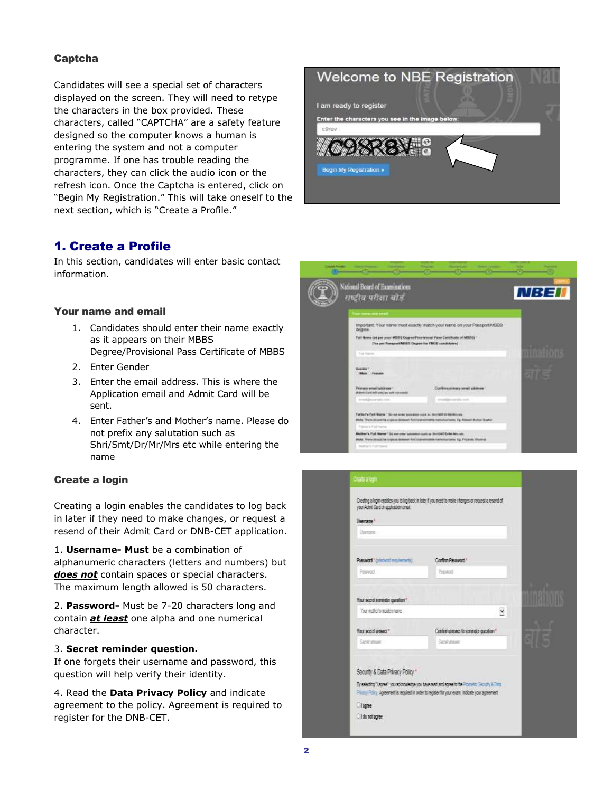#### Captcha

Candidates will see a special set of characters displayed on the screen. They will need to retype the characters in the box provided. These characters, called "CAPTCHA" are a safety feature designed so the computer knows a human is entering the system and not a computer programme. If one has trouble reading the characters, they can click the audio icon or the refresh icon. Once the Captcha is entered, click on "Begin My Registration." This will take oneself to the next section, which is "Create a Profile."



### 1. Create a Profile

In this section, candidates will enter basic contact information.

#### Your name and email

- 1. Candidates should enter their name exactly as it appears on their MBBS Degree/Provisional Pass Certificate of MBBS
- 2. Enter Gender
- 3. Enter the email address. This is where the Application email and Admit Card will be sent.
- 4. Enter Father's and Mother's name. Please do not prefix any salutation such as Shri/Smt/Dr/Mr/Mrs etc while entering the name

#### Create a login

Creating a login enables the candidates to log back in later if they need to make changes, or request a resend of their Admit Card or DNB-CET application.

1. **Username- Must** be a combination of alphanumeric characters (letters and numbers) but *does not* contain spaces or special characters. The maximum length allowed is 50 characters.

2. **Password-** Must be 7-20 characters long and contain *at least* one alpha and one numerical character.

#### 3. **Secret reminder question.**

If one forgets their username and password, this question will help verify their identity.

4. Read the **Data Privacy Policy** and indicate agreement to the policy. Agreement is required to register for the DNB-CET.



| your Admit Card or application email.             |                                                                                                                                                                                                      |   |  |
|---------------------------------------------------|------------------------------------------------------------------------------------------------------------------------------------------------------------------------------------------------------|---|--|
| Usergame *<br>Usertaine                           |                                                                                                                                                                                                      |   |  |
|                                                   |                                                                                                                                                                                                      |   |  |
| Password * (present) requirements)                | Confirm Password *                                                                                                                                                                                   |   |  |
| Research                                          | Pessoni                                                                                                                                                                                              |   |  |
|                                                   |                                                                                                                                                                                                      |   |  |
| Your secret reminder question "                   |                                                                                                                                                                                                      |   |  |
| Your andher's analysis came                       |                                                                                                                                                                                                      | M |  |
| Your secret arawer."                              | Confirm arewer to reminder question "                                                                                                                                                                |   |  |
| Septimate                                         | Service ensure                                                                                                                                                                                       |   |  |
| Security & Data Privacy Policy *<br><b>Lagree</b> | By selecting "I agree", you advocabledge you have read and agree to the Promeon: Security & Deca<br>Fruits Policy. Agreement is required in order to register for your exam. Indicate your agreement |   |  |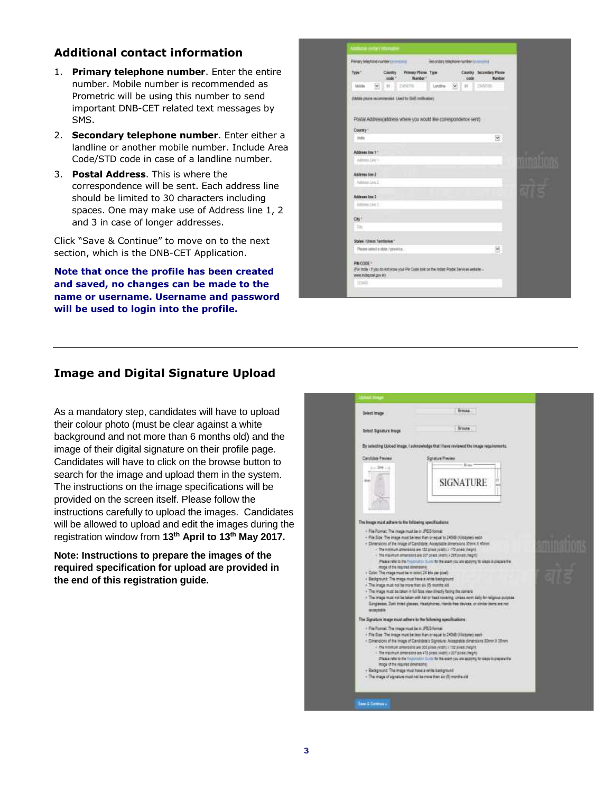# **Additional contact information**

- 1. **Primary telephone number**. Enter the entire number. Mobile number is recommended as Prometric will be using this number to send important DNB-CET related text messages by SMS.
- 2. **Secondary telephone number**. Enter either a landline or another mobile number. Include Area Code/STD code in case of a landline number.
- 3. **Postal Address**. This is where the correspondence will be sent. Each address line should be limited to 30 characters including spaces. One may make use of Address line 1, 2 and 3 in case of longer addresses.

Click "Save & Continue" to move on to the next section, which is the DNB-CET Application.

**Note that once the profile has been created and saved, no changes can be made to the name or username. Username and password will be used to login into the profile.** 

| Type !                               |                  | Country Primary Phone Type<br>sole Number                                                   |  | 0.000 | Country Secondary Phone<br><b>Nantus</b> |        |
|--------------------------------------|------------------|---------------------------------------------------------------------------------------------|--|-------|------------------------------------------|--------|
| Lichting                             |                  | WERE EXECUTE                                                                                |  |       | Lindha M. L. III - 245000                |        |
|                                      |                  | (Mole prore recommended, Lived for SMS mole poor)                                           |  |       |                                          |        |
| WITH STATE                           |                  |                                                                                             |  |       |                                          |        |
|                                      |                  | Postal Addressiaddress where you would like correspondence sent)                            |  |       |                                          |        |
| County 1                             |                  |                                                                                             |  |       |                                          |        |
| infa                                 |                  |                                                                                             |  |       | 8                                        |        |
| Address low 1"                       |                  |                                                                                             |  |       |                                          |        |
| Address Link Y                       |                  |                                                                                             |  |       |                                          | u matu |
|                                      |                  |                                                                                             |  |       |                                          |        |
| Address line 2<br>Amounted 1         |                  |                                                                                             |  |       |                                          |        |
|                                      |                  |                                                                                             |  |       |                                          |        |
| Address line 3                       |                  |                                                                                             |  |       |                                          |        |
| Altress Cen 2                        |                  |                                                                                             |  |       |                                          |        |
| Cty!                                 |                  |                                                                                             |  |       |                                          |        |
| <b>Chi</b>                           |                  |                                                                                             |  |       |                                          |        |
| States   Union Tentiumes /           |                  |                                                                                             |  |       |                                          |        |
| Please select a state / provider     |                  |                                                                                             |  |       | ы                                        |        |
|                                      | <b>CONTRACTO</b> |                                                                                             |  |       |                                          |        |
| PIN CODE *<br>(st vog lieszkich sow) |                  | (For India - If you do not know your Pie Cook book on the looker Poetal Tervisies arebate - |  |       |                                          |        |
|                                      |                  |                                                                                             |  |       |                                          |        |

# **Image and Digital Signature Upload**

As a mandatory step, candidates will have to upload their colour photo (must be clear against a white background and not more than 6 months old) and the image of their digital signature on their profile page. Candidates will have to click on the browse button to search for the image and upload them in the system. The instructions on the image specifications will be provided on the screen itself. Please follow the instructions carefully to upload the images. Candidates will be allowed to upload and edit the images during the registration window from **13 th April to 13 th May 2017.**

**Note: Instructions to prepare the images of the required specification for upload are provided in the end of this registration guide.** 

| <b>Sirouna</b><br>Teleot Signature Image<br>By selecting Upload Image, I acknowledge that I have reviewed the image requirements.<br><b>Candidate President</b><br>Sgrature Preview<br><b>Man</b><br><b>The</b><br><b>SIGNATURE</b><br>The image must adhere to the following specifications:<br>- File Format: The mage must be in JPES format<br>- File Sow. The image must be less than onequal to 24005 (Kitchchel) each<br>- Dinersions of the image of Candidate, Acceptable dimensiona 25 nm. Il 45mm<br>- The minimum athensions are 132 bries (width) / 173 bries (height)<br>/ The maintum constraints are 207 pixels (with) / 201 pixels (hepte)<br>(Please refer to the magaziners till on the this exam you are applying to sheps to prepare the<br>image of the resumed dimensional.<br>- Color, The insige must be mission 24 bits per post)<br>- Background: The mage must have a white background.<br>+ The image must not be more than six 10; shortfre aid.<br>. The image must be taken in full face view directly facing the comeral<br>. The image must not be laten with hat or head covering, unless worn daily for reignosi purpose.<br>Sunglesses, Dark tiroed glasses, Heattshones, Hambi-free devices, or similar hems are nit!<br>accuration<br>The Signature image must adhere to the following specifications:<br>- Fia Fornat. The mage must be in JPEO format.<br>- File Size: The image must be less than or equal to 240x8 (Kilobures) each.<br>+ Dimensions of the Image of Candidate's Signature: Acolastable dimensions 80mm X 28mm<br>The Hillman president are 300 posts / views 1722 and a result.<br>- The maximum dimensions are 473 powis (vight) x 207 powis (reight)<br>Please refer to the high trade in Curso, for the experience and accounts; for elegal to prepare the<br>mage of the required dimensions.<br>- Background: The image must have a white background:<br>. The maps of signature must not be more than air (8) months and | <b>Select Image</b> | <b>Brank</b> |  |
|--------------------------------------------------------------------------------------------------------------------------------------------------------------------------------------------------------------------------------------------------------------------------------------------------------------------------------------------------------------------------------------------------------------------------------------------------------------------------------------------------------------------------------------------------------------------------------------------------------------------------------------------------------------------------------------------------------------------------------------------------------------------------------------------------------------------------------------------------------------------------------------------------------------------------------------------------------------------------------------------------------------------------------------------------------------------------------------------------------------------------------------------------------------------------------------------------------------------------------------------------------------------------------------------------------------------------------------------------------------------------------------------------------------------------------------------------------------------------------------------------------------------------------------------------------------------------------------------------------------------------------------------------------------------------------------------------------------------------------------------------------------------------------------------------------------------------------------------------------------------------------------------------------------------------------------------------------------------------------------------|---------------------|--------------|--|
|                                                                                                                                                                                                                                                                                                                                                                                                                                                                                                                                                                                                                                                                                                                                                                                                                                                                                                                                                                                                                                                                                                                                                                                                                                                                                                                                                                                                                                                                                                                                                                                                                                                                                                                                                                                                                                                                                                                                                                                            |                     |              |  |
|                                                                                                                                                                                                                                                                                                                                                                                                                                                                                                                                                                                                                                                                                                                                                                                                                                                                                                                                                                                                                                                                                                                                                                                                                                                                                                                                                                                                                                                                                                                                                                                                                                                                                                                                                                                                                                                                                                                                                                                            |                     |              |  |
|                                                                                                                                                                                                                                                                                                                                                                                                                                                                                                                                                                                                                                                                                                                                                                                                                                                                                                                                                                                                                                                                                                                                                                                                                                                                                                                                                                                                                                                                                                                                                                                                                                                                                                                                                                                                                                                                                                                                                                                            |                     |              |  |
|                                                                                                                                                                                                                                                                                                                                                                                                                                                                                                                                                                                                                                                                                                                                                                                                                                                                                                                                                                                                                                                                                                                                                                                                                                                                                                                                                                                                                                                                                                                                                                                                                                                                                                                                                                                                                                                                                                                                                                                            |                     |              |  |
|                                                                                                                                                                                                                                                                                                                                                                                                                                                                                                                                                                                                                                                                                                                                                                                                                                                                                                                                                                                                                                                                                                                                                                                                                                                                                                                                                                                                                                                                                                                                                                                                                                                                                                                                                                                                                                                                                                                                                                                            |                     |              |  |
|                                                                                                                                                                                                                                                                                                                                                                                                                                                                                                                                                                                                                                                                                                                                                                                                                                                                                                                                                                                                                                                                                                                                                                                                                                                                                                                                                                                                                                                                                                                                                                                                                                                                                                                                                                                                                                                                                                                                                                                            |                     |              |  |
|                                                                                                                                                                                                                                                                                                                                                                                                                                                                                                                                                                                                                                                                                                                                                                                                                                                                                                                                                                                                                                                                                                                                                                                                                                                                                                                                                                                                                                                                                                                                                                                                                                                                                                                                                                                                                                                                                                                                                                                            |                     |              |  |
|                                                                                                                                                                                                                                                                                                                                                                                                                                                                                                                                                                                                                                                                                                                                                                                                                                                                                                                                                                                                                                                                                                                                                                                                                                                                                                                                                                                                                                                                                                                                                                                                                                                                                                                                                                                                                                                                                                                                                                                            |                     |              |  |
|                                                                                                                                                                                                                                                                                                                                                                                                                                                                                                                                                                                                                                                                                                                                                                                                                                                                                                                                                                                                                                                                                                                                                                                                                                                                                                                                                                                                                                                                                                                                                                                                                                                                                                                                                                                                                                                                                                                                                                                            |                     |              |  |
|                                                                                                                                                                                                                                                                                                                                                                                                                                                                                                                                                                                                                                                                                                                                                                                                                                                                                                                                                                                                                                                                                                                                                                                                                                                                                                                                                                                                                                                                                                                                                                                                                                                                                                                                                                                                                                                                                                                                                                                            |                     |              |  |
|                                                                                                                                                                                                                                                                                                                                                                                                                                                                                                                                                                                                                                                                                                                                                                                                                                                                                                                                                                                                                                                                                                                                                                                                                                                                                                                                                                                                                                                                                                                                                                                                                                                                                                                                                                                                                                                                                                                                                                                            |                     |              |  |
|                                                                                                                                                                                                                                                                                                                                                                                                                                                                                                                                                                                                                                                                                                                                                                                                                                                                                                                                                                                                                                                                                                                                                                                                                                                                                                                                                                                                                                                                                                                                                                                                                                                                                                                                                                                                                                                                                                                                                                                            |                     |              |  |
|                                                                                                                                                                                                                                                                                                                                                                                                                                                                                                                                                                                                                                                                                                                                                                                                                                                                                                                                                                                                                                                                                                                                                                                                                                                                                                                                                                                                                                                                                                                                                                                                                                                                                                                                                                                                                                                                                                                                                                                            |                     |              |  |
|                                                                                                                                                                                                                                                                                                                                                                                                                                                                                                                                                                                                                                                                                                                                                                                                                                                                                                                                                                                                                                                                                                                                                                                                                                                                                                                                                                                                                                                                                                                                                                                                                                                                                                                                                                                                                                                                                                                                                                                            |                     |              |  |
|                                                                                                                                                                                                                                                                                                                                                                                                                                                                                                                                                                                                                                                                                                                                                                                                                                                                                                                                                                                                                                                                                                                                                                                                                                                                                                                                                                                                                                                                                                                                                                                                                                                                                                                                                                                                                                                                                                                                                                                            |                     |              |  |
|                                                                                                                                                                                                                                                                                                                                                                                                                                                                                                                                                                                                                                                                                                                                                                                                                                                                                                                                                                                                                                                                                                                                                                                                                                                                                                                                                                                                                                                                                                                                                                                                                                                                                                                                                                                                                                                                                                                                                                                            |                     |              |  |
|                                                                                                                                                                                                                                                                                                                                                                                                                                                                                                                                                                                                                                                                                                                                                                                                                                                                                                                                                                                                                                                                                                                                                                                                                                                                                                                                                                                                                                                                                                                                                                                                                                                                                                                                                                                                                                                                                                                                                                                            |                     |              |  |
|                                                                                                                                                                                                                                                                                                                                                                                                                                                                                                                                                                                                                                                                                                                                                                                                                                                                                                                                                                                                                                                                                                                                                                                                                                                                                                                                                                                                                                                                                                                                                                                                                                                                                                                                                                                                                                                                                                                                                                                            |                     |              |  |
|                                                                                                                                                                                                                                                                                                                                                                                                                                                                                                                                                                                                                                                                                                                                                                                                                                                                                                                                                                                                                                                                                                                                                                                                                                                                                                                                                                                                                                                                                                                                                                                                                                                                                                                                                                                                                                                                                                                                                                                            |                     |              |  |
|                                                                                                                                                                                                                                                                                                                                                                                                                                                                                                                                                                                                                                                                                                                                                                                                                                                                                                                                                                                                                                                                                                                                                                                                                                                                                                                                                                                                                                                                                                                                                                                                                                                                                                                                                                                                                                                                                                                                                                                            |                     |              |  |
|                                                                                                                                                                                                                                                                                                                                                                                                                                                                                                                                                                                                                                                                                                                                                                                                                                                                                                                                                                                                                                                                                                                                                                                                                                                                                                                                                                                                                                                                                                                                                                                                                                                                                                                                                                                                                                                                                                                                                                                            |                     |              |  |
|                                                                                                                                                                                                                                                                                                                                                                                                                                                                                                                                                                                                                                                                                                                                                                                                                                                                                                                                                                                                                                                                                                                                                                                                                                                                                                                                                                                                                                                                                                                                                                                                                                                                                                                                                                                                                                                                                                                                                                                            |                     |              |  |
|                                                                                                                                                                                                                                                                                                                                                                                                                                                                                                                                                                                                                                                                                                                                                                                                                                                                                                                                                                                                                                                                                                                                                                                                                                                                                                                                                                                                                                                                                                                                                                                                                                                                                                                                                                                                                                                                                                                                                                                            |                     |              |  |
|                                                                                                                                                                                                                                                                                                                                                                                                                                                                                                                                                                                                                                                                                                                                                                                                                                                                                                                                                                                                                                                                                                                                                                                                                                                                                                                                                                                                                                                                                                                                                                                                                                                                                                                                                                                                                                                                                                                                                                                            |                     |              |  |
|                                                                                                                                                                                                                                                                                                                                                                                                                                                                                                                                                                                                                                                                                                                                                                                                                                                                                                                                                                                                                                                                                                                                                                                                                                                                                                                                                                                                                                                                                                                                                                                                                                                                                                                                                                                                                                                                                                                                                                                            |                     |              |  |
|                                                                                                                                                                                                                                                                                                                                                                                                                                                                                                                                                                                                                                                                                                                                                                                                                                                                                                                                                                                                                                                                                                                                                                                                                                                                                                                                                                                                                                                                                                                                                                                                                                                                                                                                                                                                                                                                                                                                                                                            |                     |              |  |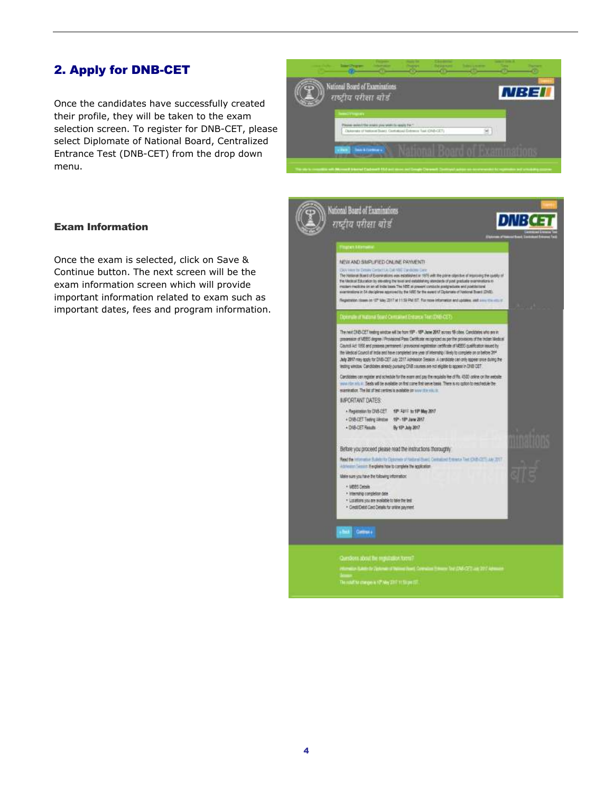# 2. Apply for DNB-CET

Once the candidates have successfully created their profile, they will be taken to the exam selection screen. To register for DNB-CET, please select Diplomate of National Board, Centralized Entrance Test (DNB-CET) from the drop down menu.



#### Exam Information

Once the exam is selected, click on Save & Continue button. The next screen will be the exam information screen which will provide important information related to exam such as important dates, fees and program information.

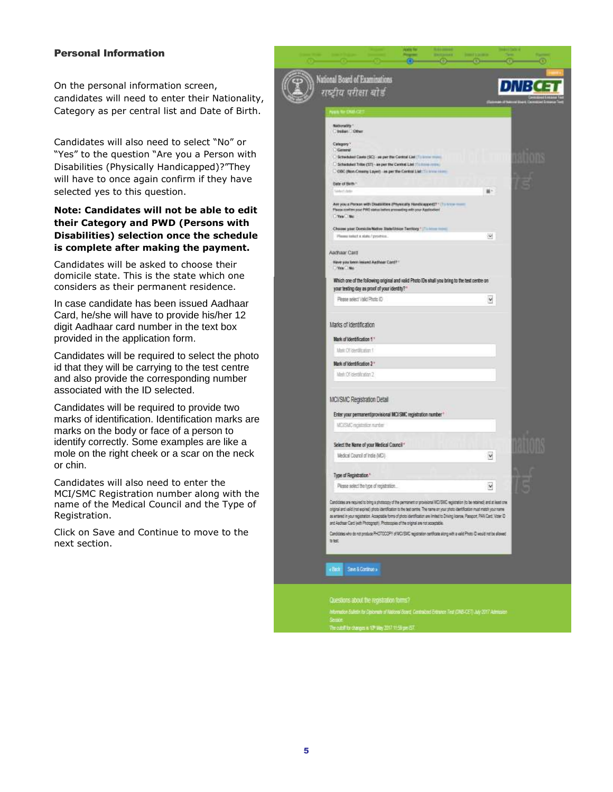#### Personal Information

On the personal information screen, candidates will need to enter their Nationality, Category as per central list and Date of Birth.

Candidates will also need to select "No" or "Yes" to the question "Are you a Person with Disabilities (Physically Handicapped)?"They will have to once again confirm if they have selected yes to this question.

#### **Note: Candidates will not be able to edit their Category and PWD (Persons with Disabilities) selection once the schedule is complete after making the payment.**

Candidates will be asked to choose their domicile state. This is the state which one considers as their permanent residence.

In case candidate has been issued Aadhaar Card, he/she will have to provide his/her 12 digit Aadhaar card number in the text box provided in the application form.

Candidates will be required to select the photo id that they will be carrying to the test centre and also provide the corresponding number associated with the ID selected.

Candidates will be required to provide two marks of identification. Identification marks are marks on the body or face of a person to identify correctly. Some examples are like a mole on the right cheek or a scar on the neck or chin.

Candidates will also need to enter the MCI/SMC Registration number along with the name of the Medical Council and the Type of Registration.

Click on Save and Continue to move to the next section.

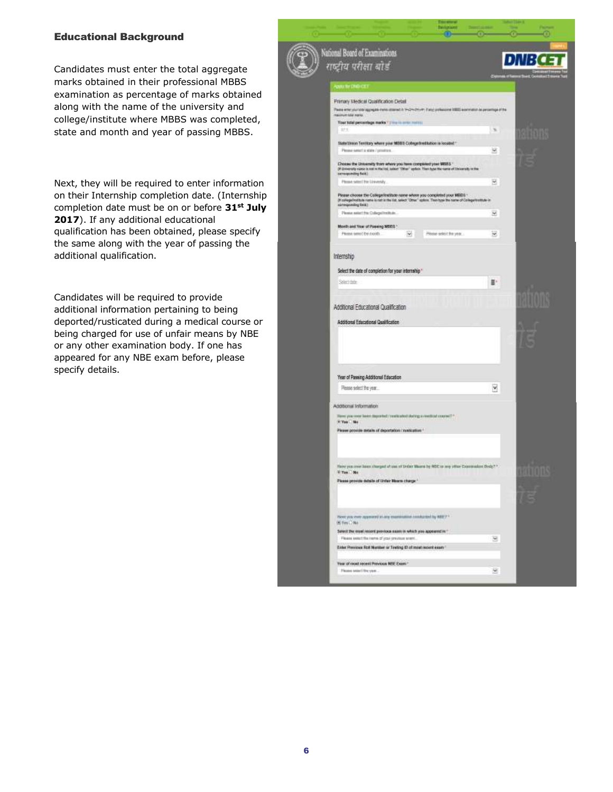#### Educational Background

Candidates must enter the total aggregate marks obtained in their professional MBBS examination as percentage of marks obtained along with the name of the university and college/institute where MBBS was completed, state and month and year of passing MBBS.

Next, they will be required to enter information on their Internship completion date. (Internship completion date must be on or before **31st July 2017**). If any additional educational qualification has been obtained, please specify the same along with the year of passing the additional qualification.

Candidates will be required to provide additional information pertaining to being deported/rusticated during a medical course or being charged for use of unfair means by NBE or any other examination body. If one has appeared for any NBE exam before, please specify details.

|                                   |                                                                                                                                                                                              |   | <b>Building</b>         | $\overline{\alpha}$ |   | 50                       | œ      |
|-----------------------------------|----------------------------------------------------------------------------------------------------------------------------------------------------------------------------------------------|---|-------------------------|---------------------|---|--------------------------|--------|
| National Board of Examinations    |                                                                                                                                                                                              |   |                         |                     |   |                          |        |
| राष्ट्रीय परीक्षा बोर्ड           |                                                                                                                                                                                              |   |                         |                     |   | DNBCE                    |        |
|                                   |                                                                                                                                                                                              |   |                         |                     |   |                          |        |
| <b>SOLUTION COLLECTED</b>         |                                                                                                                                                                                              |   |                         |                     |   |                          |        |
|                                   | Primary Medical Qualification Detail                                                                                                                                                         |   |                         |                     |   |                          |        |
| RAYFURTEEN MANU                   | Passe energions to regulate ment contract in two with win if and pollutions (ISE) economist to proximps of the                                                                               |   |                         |                     |   |                          |        |
| 273                               | Your tutal percentage mades * (Fina in arms matte).                                                                                                                                          |   |                         |                     | x |                          |        |
|                                   |                                                                                                                                                                                              |   |                         |                     |   |                          | о папа |
| Please senate a state / produce.  | State/Union Territory where your MEB3 College/Institution is located **                                                                                                                      |   |                         |                     | × |                          |        |
| corresponding Nott !:             | Choose the University than where you have completed your MEELS."<br>(A Driversity name is not in the list, saled "Dilay" aplies. Then how the name of University or the                      |   |                         |                     |   |                          |        |
| Finance system? from Lindversidy. |                                                                                                                                                                                              |   |                         |                     | м |                          |        |
|                                   | Please choose the College/Institute name where you completed your MBBS :<br>(if college/notibute name is nist in the list, select 'Other' aption. Then type the name of College/Institute in |   |                         |                     |   |                          |        |
| carresponding the d               | Please select the College Institute.                                                                                                                                                         |   |                         |                     | × |                          |        |
|                                   |                                                                                                                                                                                              |   |                         |                     |   |                          |        |
| Please sensitive needs            | Month and Year of Poseing MDISS                                                                                                                                                              | 銐 | Please select the year. |                     | R |                          |        |
|                                   |                                                                                                                                                                                              |   |                         |                     |   |                          |        |
| Internship                        |                                                                                                                                                                                              |   |                         |                     |   |                          |        |
|                                   | Select the date of completion for your internship"                                                                                                                                           |   |                         |                     |   |                          |        |
| Select date                       |                                                                                                                                                                                              |   |                         |                     | 首 |                          |        |
|                                   |                                                                                                                                                                                              |   |                         |                     |   |                          |        |
|                                   | Additional Educational Qualification                                                                                                                                                         |   |                         |                     |   |                          |        |
|                                   | Additional Educational Qualification                                                                                                                                                         |   |                         |                     |   |                          |        |
|                                   |                                                                                                                                                                                              |   |                         |                     |   | <b>TENNIS</b><br>۰<br>16 |        |
|                                   |                                                                                                                                                                                              |   |                         |                     |   |                          |        |
|                                   |                                                                                                                                                                                              |   |                         |                     |   |                          |        |
|                                   | Year of Passing Additional Education                                                                                                                                                         |   |                         |                     |   |                          |        |
| Please select the year            |                                                                                                                                                                                              |   |                         |                     | v |                          |        |
| Abditional Information            |                                                                                                                                                                                              |   |                         |                     |   |                          |        |
|                                   | These year your bank deported / residuated during is residual coursel?"                                                                                                                      |   |                         |                     |   |                          |        |
| <b>Riffael Ma</b>                 | Please provide details of deportation : runnication **                                                                                                                                       |   |                         |                     |   |                          |        |
|                                   |                                                                                                                                                                                              |   |                         |                     |   |                          |        |
|                                   |                                                                                                                                                                                              |   |                         |                     |   |                          |        |
|                                   | New year over heart charged of year of Driver Means by ASC or any other Commodant Body?"                                                                                                     |   |                         |                     |   |                          |        |
|                                   | Please provide details of Unfair Means charge."                                                                                                                                              |   |                         |                     |   |                          |        |
|                                   |                                                                                                                                                                                              |   |                         |                     |   | T B                      |        |
|                                   |                                                                                                                                                                                              |   |                         |                     |   |                          |        |
| BETWEEN !!                        | Next you can approved to any examination conducted by ABE? *                                                                                                                                 |   |                         |                     |   |                          |        |
|                                   | Select the most recent provices excel in which you appeared in "                                                                                                                             |   |                         |                     |   |                          |        |
|                                   | . Finals select the nems of your previous sneet.<br>Einter Previous Roll Number or Testing ID of most report seam."                                                                          |   |                         |                     | ж |                          |        |
|                                   |                                                                                                                                                                                              |   |                         |                     |   |                          |        |
|                                   | Year of nost recent Previous NSE Exerc **                                                                                                                                                    |   |                         |                     |   |                          |        |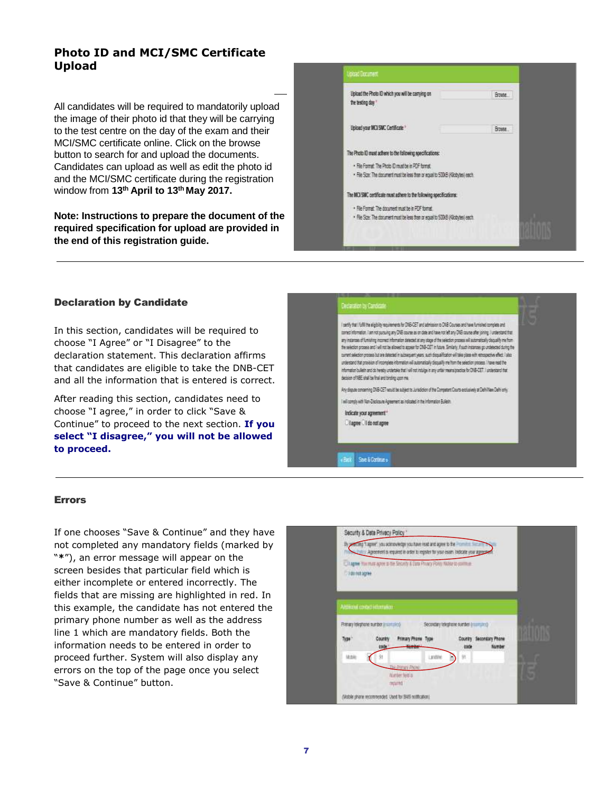## **Photo ID and MCI/SMC Certificate Upload**

All candidates will be required to mandatorily upload the image of their photo id that they will be carrying to the test centre on the day of the exam and their MCI/SMC certificate online. Click on the browse button to search for and upload the documents. Candidates can upload as well as edit the photo id and the MCI/SMC certificate during the registration window from **13 th April to 13 th May 2017.**

**Note: Instructions to prepare the document of the required specification for upload are provided in the end of this registration guide.** 

| Upload the Photo ID which you will be carrying on<br>the testing day "                                                                | Brase.  |
|---------------------------------------------------------------------------------------------------------------------------------------|---------|
| Upload your MCI SMC Certificate *                                                                                                     | Browse. |
| The Photo ID must adhere to the following specifications:                                                                             |         |
| . File Fornet: The Photo 10 must be in PDF formet.<br>. File Size: The document must be less than or equal to 500x9 (Kilobytes) each. |         |
| The MCI SMC certificate must adhere to the following specifications:                                                                  |         |
| . File Format: The document must be in PDF format.                                                                                    |         |
|                                                                                                                                       |         |

#### Declaration by Candidate

In this section, candidates will be required to choose "I Agree" or "I Disagree" to the declaration statement. This declaration affirms that candidates are eligible to take the DNB-CET and all the information that is entered is correct.

After reading this section, candidates need to choose "I agree," in order to click "Save & Continue" to proceed to the next section. **If you select "I disagree," you will not be allowed to proceed.**



#### Errors

If one chooses "Save & Continue" and they have not completed any mandatory fields (marked by "**\***"), an error message will appear on the screen besides that particular field which is either incomplete or entered incorrectly. The fields that are missing are highlighted in red. In this example, the candidate has not entered the primary phone number as well as the address line 1 which are mandatory fields. Both the information needs to be entered in order to proceed further. System will also display any errors on the top of the page once you select "Save & Continue" button.

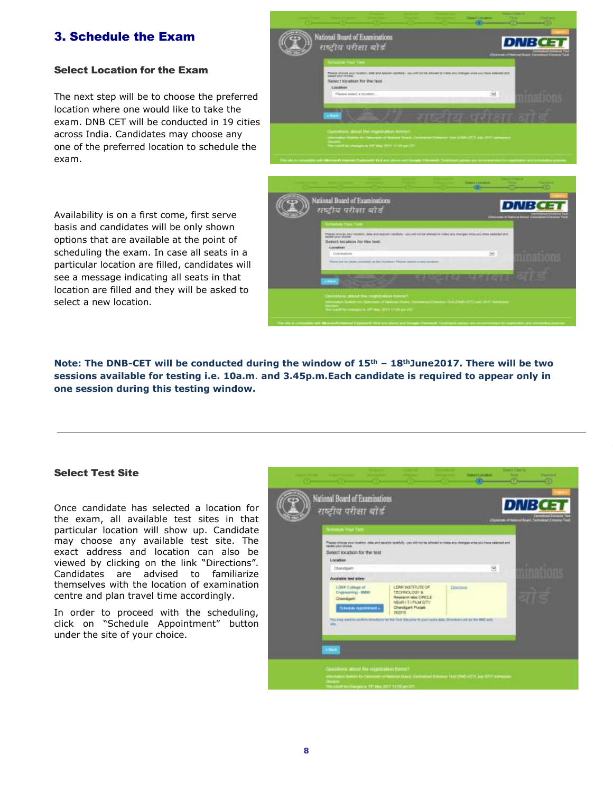# 3. Schedule the Exam

#### Select Location for the Exam

The next step will be to choose the preferred location where one would like to take the exam. DNB CET will be conducted in 19 cities across India. Candidates may choose any one of the preferred location to schedule the exam.

Availability is on a first come, first serve basis and candidates will be only shown options that are available at the point of scheduling the exam. In case all seats in a particular location are filled, candidates will see a message indicating all seats in that location are filled and they will be asked to select a new location.



**Note: The DNB-CET will be conducted during the window of 15th – 18thJune2017. There will be two sessions available for testing i.e. 10a.m**. **and 3.45p.m.Each candidate is required to appear only in one session during this testing window.**

#### Select Test Site

Once candidate has selected a location for the exam, all available test sites in that particular location will show up. Candidate may choose any available test site. The exact address and location can also be viewed by clicking on the link "Directions". Candidates are advised to familiarize themselves with the location of examination centre and plan travel time accordingly.

In order to proceed with the scheduling, click on "Schedule Appointment" button under the site of your choice.

| राष्ट्रीय परीक्षा बोर्ड<br><b>INTERNATIONAL TENNET</b>                                                                                                                                               |                                                                                                                                  |               | $-11$ | <b>DNBCET</b><br>Cartesians Compos Tax<br>Annal Commons Compos Tax |
|------------------------------------------------------------------------------------------------------------------------------------------------------------------------------------------------------|----------------------------------------------------------------------------------------------------------------------------------|---------------|-------|--------------------------------------------------------------------|
| These shoop you trainer, talk and lasses talking you will not be almost to meaning thanges area you have selected and<br>same you shalls.<br>Salect location for the test.<br>Lication<br>Distribut- |                                                                                                                                  |               | 69    |                                                                    |
| Available test sites:<br>LINP College of<br>Engineering - SMERI<br>Chamboots<br><b>Schedule Automobile</b>                                                                                           | LEAR WETTUTE OF<br><b>TECHNOLOGY &amp;</b><br>Research tales CPICLE<br><b>NEWS IT A FIGHT CITY</b><br>Chandgart Purget<br>563015 | <b>TANGER</b> |       | <b>TRATA</b>                                                       |
| <b>With</b>                                                                                                                                                                                          | This may want to profilm development of the USA prior to promise to any data illimitiation and an Mill, and,                     |               |       |                                                                    |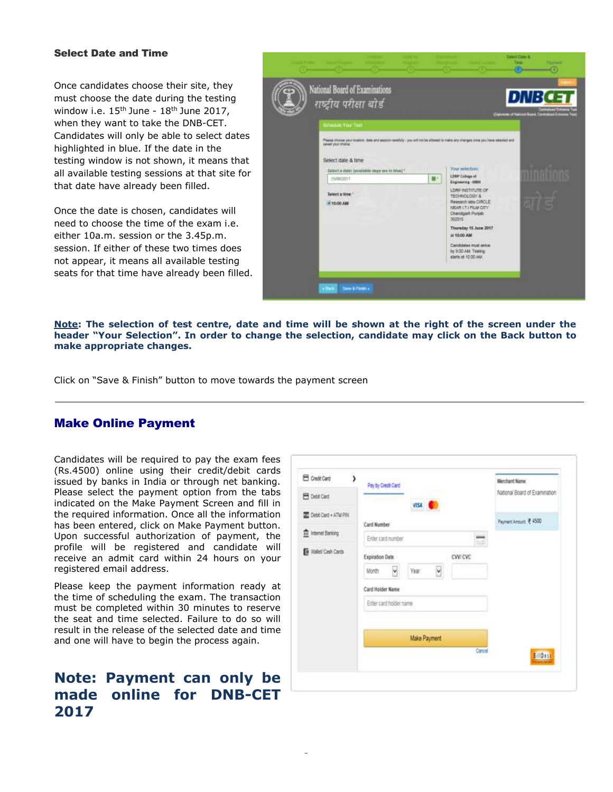#### Select Date and Time

Once candidates choose their site, they must choose the date during the testing window i.e.  $15<sup>th</sup>$  June -  $18<sup>th</sup>$  June 2017, when they want to take the DNB-CET. Candidates will only be able to select dates highlighted in blue. If the date in the testing window is not shown, it means that all available testing sessions at that site for that date have already been filled.

Once the date is chosen, candidates will need to choose the time of the exam i.e. either 10a.m. session or the 3.45p.m. session. If either of these two times does not appear, it means all available testing seats for that time have already been filled.



**Note: The selection of test centre, date and time will be shown at the right of the screen under the header "Your Selection". In order to change the selection, candidate may click on the Back button to make appropriate changes.** 

Click on "Save & Finish" button to move towards the payment screen

### Make Online Payment

Candidates will be required to pay the exam fees (Rs.4500) online using their credit/debit cards issued by banks in India or through net banking. Please select the payment option from the tabs indicated on the Make Payment Screen and fill in the required information. Once all the information has been entered, click on Make Payment button. Upon successful authorization of payment, the profile will be registered and candidate will receive an admit card within 24 hours on your registered email address.

Please keep the payment information ready at the time of scheduling the exam. The transaction must be completed within 30 minutes to reserve the seat and time selected. Failure to do so will result in the release of the selected date and time and one will have to begin the process again.

# **Note: Payment can only be made online for DNB-CET 2017**

| E Credit Card<br>١         | Pay by Credit Card                          | Merchant Name<br>National Board of Examination |
|----------------------------|---------------------------------------------|------------------------------------------------|
| <b>E</b> Debit Card        | VISA                                        |                                                |
| Debt Card + ATM PIN        | Card Number                                 | Payment Amount: # 4500                         |
| Til Internet Banking       | Enter card number                           |                                                |
| <b>D</b> Wallet Cash Cards | $\frac{1}{2}$<br>Expiration Date<br>CWI CVC |                                                |
|                            | Y<br>Year<br>Month<br>M                     |                                                |
|                            | Card Holder Name                            |                                                |
|                            | Enter card holder name                      |                                                |
|                            | <b>Make Payment</b>                         |                                                |
|                            | Cantel                                      | 8 IDesk                                        |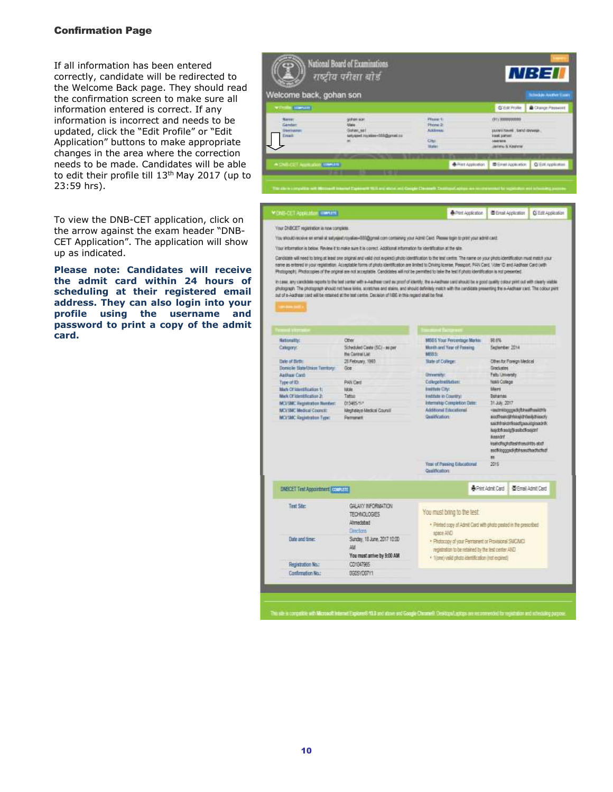#### Confirmation Page

If all information has been entered correctly, candidate will be redirected to the Welcome Back page. They should read the confirmation screen to make sure all information entered is correct. If any information is incorrect and needs to be updated, click the "Edit Profile" or "Edit Application" buttons to make appropriate changes in the area where the correction needs to be made. Candidates will be able to edit their profile till 13<sup>th</sup> May 2017 (up to 23:59 hrs).

To view the DNB-CET application, click on the arrow against the exam header "DNB-CET Application". The application will show up as indicated.

**Please note: Candidates will receive the admit card within 24 hours of scheduling at their registered email address. They can also login into your profile using the username and password to print a copy of the admit card.** 

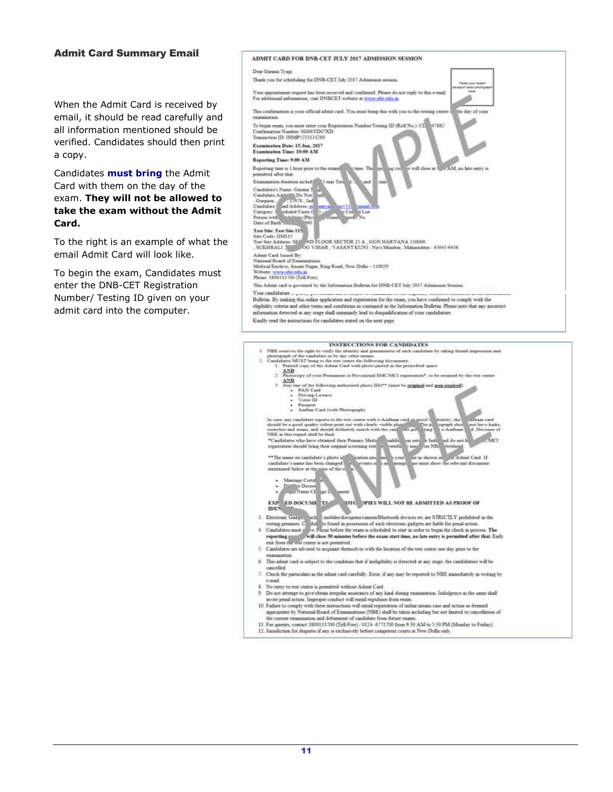#### Admit Card Summary Email

When the Admit Card is received by email, it should be read carefully and all information mentioned should be verified. Candidates should then print a copy.

Candidates **must bring** the Admit Card with them on the day of the exam. **They will not be allowed to take the exam without the Admit Card.**

To the right is an example of what the email Admit Card will look like.

To begin the exam, Candidates must enter the DNB-CET Registration Number/ Testing ID given on your admit card into the computer.





# 11. For queries, contact 1800111700 (Toll-Free) / 0124- 6771700 from 9:30 AM to 5:30 PM (Monday to Friday).<br>12. Jurisdiction for disputes if any is exclusively before competent courts at New Delhi only.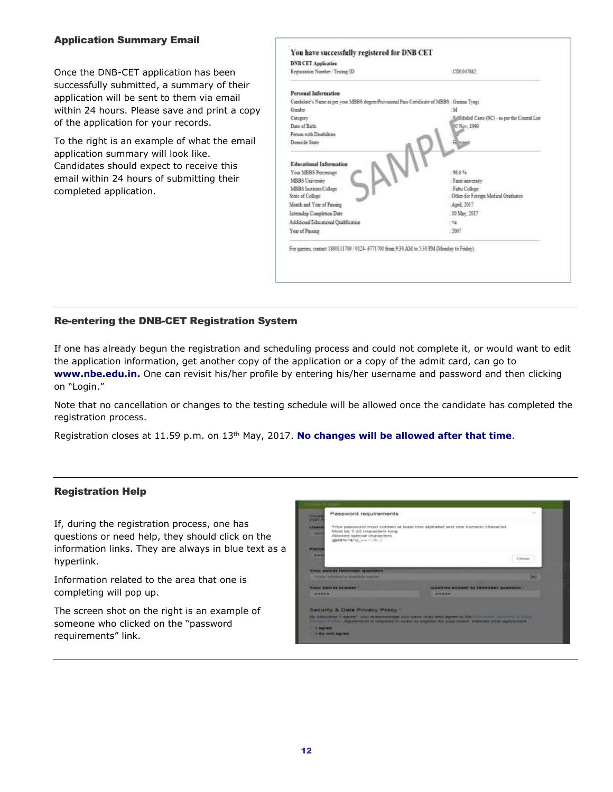#### Application Summary Email

Once the DNB-CET application has been successfully submitted, a summary of their application will be sent to them via email within 24 hours. Please save and print a copy of the application for your records.

To the right is an example of what the email application summary will look like. Candidates should expect to receive this email within 24 hours of submitting their completed application.

| <b>DNB CET Application</b><br>Registration Number / Testing ID                               | $-CD1047882$                                                                             |
|----------------------------------------------------------------------------------------------|------------------------------------------------------------------------------------------|
| Personal Information                                                                         |                                                                                          |
| Candidate's Name as per your MBBS degree/Provisional Pass Certificate of MBBS : Garima Tyagi |                                                                                          |
| Gender                                                                                       | ·M                                                                                       |
| Category                                                                                     | Sallfduled Caste (SC) - as per the Central List                                          |
| Date of Right                                                                                | 80 Nov. 1990                                                                             |
| Person with Disabilities.                                                                    |                                                                                          |
| Domicile State                                                                               |                                                                                          |
| Your MBBS Percentage<br>MBBS University<br>MBBS Institute College<br>State of College        | $-98.6$ %<br>: Farm university<br>Faltu College<br>: Other-for Foreign Medical Graduates |
| Month and Year of Passing                                                                    | : April, 2017                                                                            |
| Internship Completion Date                                                                   | : 10 May, 2017                                                                           |
| Additional Educational Qualification                                                         | $\sim$                                                                                   |
| Year of Passang                                                                              | $-2007$                                                                                  |

#### Re-entering the DNB-CET Registration System

If one has already begun the registration and scheduling process and could not complete it, or would want to edit the application information, get another copy of the application or a copy of the admit card, can go to **[www.nbe.edu.in.](http://www.nbe.edu.in/)** One can revisit his/her profile by entering his/her username and password and then clicking on "Login."

Note that no cancellation or changes to the testing schedule will be allowed once the candidate has completed the registration process.

Registration closes at 11.59 p.m. on 13th May, 2017. **No changes will be allowed after that time**.

#### Registration Help

If, during the registration process, one has questions or need help, they should click on the information links. They are always in blue text as a hyperlink.

Information related to the area that one is completing will pop up.

The screen shot on the right is an example of someone who clicked on the "password requirements" link.

| <br>Password requirements<br><b>STANDARD</b><br><b>SIGHT A</b>                                                    | $\equiv$                                                                                                                                                                                                                             |
|-------------------------------------------------------------------------------------------------------------------|--------------------------------------------------------------------------------------------------------------------------------------------------------------------------------------------------------------------------------------|
| <b>Measure</b><br>Most be 7-20 characters long<br>-<br>Allowed special characters<br>COMBINATOR COMMITTEE COMPANY | Your parametri must contain at least one alphabet and one menetic character                                                                                                                                                          |
| PASN<br>---                                                                                                       | <b>Elizabet</b>                                                                                                                                                                                                                      |
| Your secret removaler quasitors<br>WITH CONTRACT & MARTIN ROOM                                                    | ▬                                                                                                                                                                                                                                    |
| TOUT SECTION AND REAL                                                                                             | Control answer to reminder question !                                                                                                                                                                                                |
| *****                                                                                                             | -----                                                                                                                                                                                                                                |
| Security & Data Philadelp Patters<br><b>LAUTES</b>                                                                | The automatest "Lassner", which be transferred also have local asset for the Committee Channels, it is hard<br>President Primary Jugoslavenest to relate the sending business and separate because installation private approximated |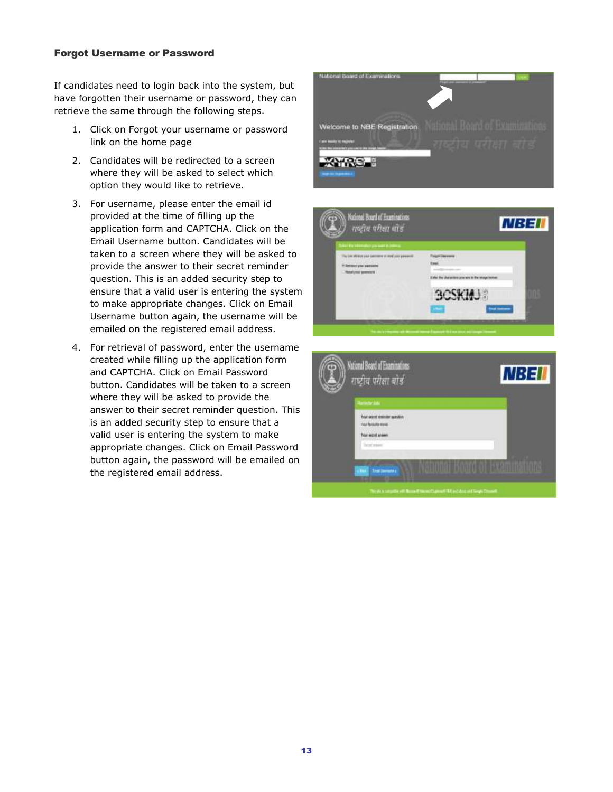#### Forgot Username or Password

If candidates need to login back into the system, but have forgotten their username or password, they can retrieve the same through the following steps.

- 1. Click on Forgot your username or password link on the home page
- 2. Candidates will be redirected to a screen where they will be asked to select which option they would like to retrieve.
- 3. For username, please enter the email id provided at the time of filling up the application form and CAPTCHA. Click on the Email Username button. Candidates will be taken to a screen where they will be asked to provide the answer to their secret reminder question. This is an added security step to ensure that a valid user is entering the system to make appropriate changes. Click on Email Username button again, the username will be emailed on the registered email address.
- 4. For retrieval of password, enter the username created while filling up the application form and CAPTCHA. Click on Email Password button. Candidates will be taken to a screen where they will be asked to provide the answer to their secret reminder question. This is an added security step to ensure that a valid user is entering the system to make appropriate changes. Click on Email Password button again, the password will be emailed on the registered email address.





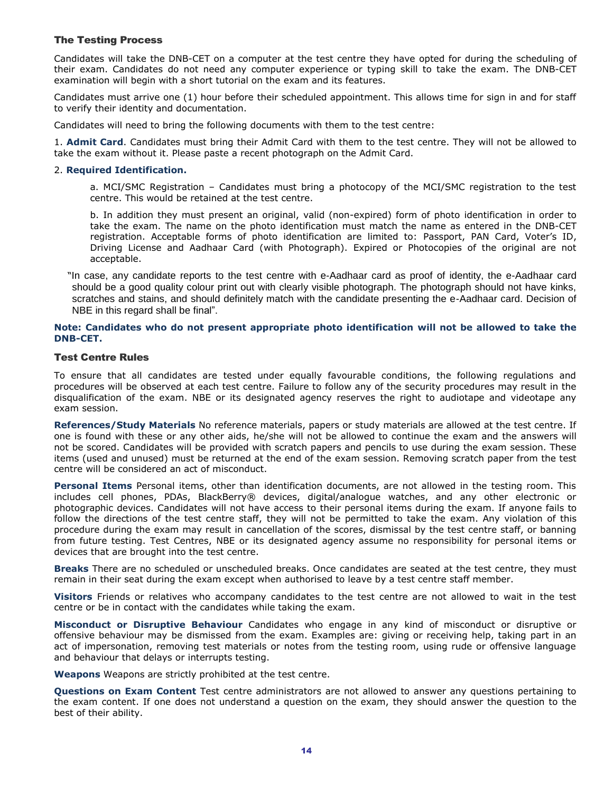#### The Testing Process

Candidates will take the DNB-CET on a computer at the test centre they have opted for during the scheduling of their exam. Candidates do not need any computer experience or typing skill to take the exam. The DNB-CET examination will begin with a short tutorial on the exam and its features.

Candidates must arrive one (1) hour before their scheduled appointment. This allows time for sign in and for staff to verify their identity and documentation.

Candidates will need to bring the following documents with them to the test centre:

1. **Admit Card**. Candidates must bring their Admit Card with them to the test centre. They will not be allowed to take the exam without it. Please paste a recent photograph on the Admit Card.

#### 2. **Required Identification.**

a. MCI/SMC Registration – Candidates must bring a photocopy of the MCI/SMC registration to the test centre. This would be retained at the test centre.

b. In addition they must present an original, valid (non-expired) form of photo identification in order to take the exam. The name on the photo identification must match the name as entered in the DNB-CET registration. Acceptable forms of photo identification are limited to: Passport, PAN Card, Voter's ID, Driving License and Aadhaar Card (with Photograph). Expired or Photocopies of the original are not acceptable.

"In case, any candidate reports to the test centre with e-Aadhaar card as proof of identity, the e-Aadhaar card should be a good quality colour print out with clearly visible photograph. The photograph should not have kinks, scratches and stains, and should definitely match with the candidate presenting the e-Aadhaar card. Decision of NBE in this regard shall be final".

#### **Note: Candidates who do not present appropriate photo identification will not be allowed to take the DNB-CET.**

#### Test Centre Rules

To ensure that all candidates are tested under equally favourable conditions, the following regulations and procedures will be observed at each test centre. Failure to follow any of the security procedures may result in the disqualification of the exam. NBE or its designated agency reserves the right to audiotape and videotape any exam session.

**References/Study Materials** No reference materials, papers or study materials are allowed at the test centre. If one is found with these or any other aids, he/she will not be allowed to continue the exam and the answers will not be scored. Candidates will be provided with scratch papers and pencils to use during the exam session. These items (used and unused) must be returned at the end of the exam session. Removing scratch paper from the test centre will be considered an act of misconduct.

**Personal Items** Personal items, other than identification documents, are not allowed in the testing room. This includes cell phones, PDAs, BlackBerry® devices, digital/analogue watches, and any other electronic or photographic devices. Candidates will not have access to their personal items during the exam. If anyone fails to follow the directions of the test centre staff, they will not be permitted to take the exam. Any violation of this procedure during the exam may result in cancellation of the scores, dismissal by the test centre staff, or banning from future testing. Test Centres, NBE or its designated agency assume no responsibility for personal items or devices that are brought into the test centre.

**Breaks** There are no scheduled or unscheduled breaks. Once candidates are seated at the test centre, they must remain in their seat during the exam except when authorised to leave by a test centre staff member.

**Visitors** Friends or relatives who accompany candidates to the test centre are not allowed to wait in the test centre or be in contact with the candidates while taking the exam.

**Misconduct or Disruptive Behaviour** Candidates who engage in any kind of misconduct or disruptive or offensive behaviour may be dismissed from the exam. Examples are: giving or receiving help, taking part in an act of impersonation, removing test materials or notes from the testing room, using rude or offensive language and behaviour that delays or interrupts testing.

**Weapons** Weapons are strictly prohibited at the test centre.

**Questions on Exam Content** Test centre administrators are not allowed to answer any questions pertaining to the exam content. If one does not understand a question on the exam, they should answer the question to the best of their ability.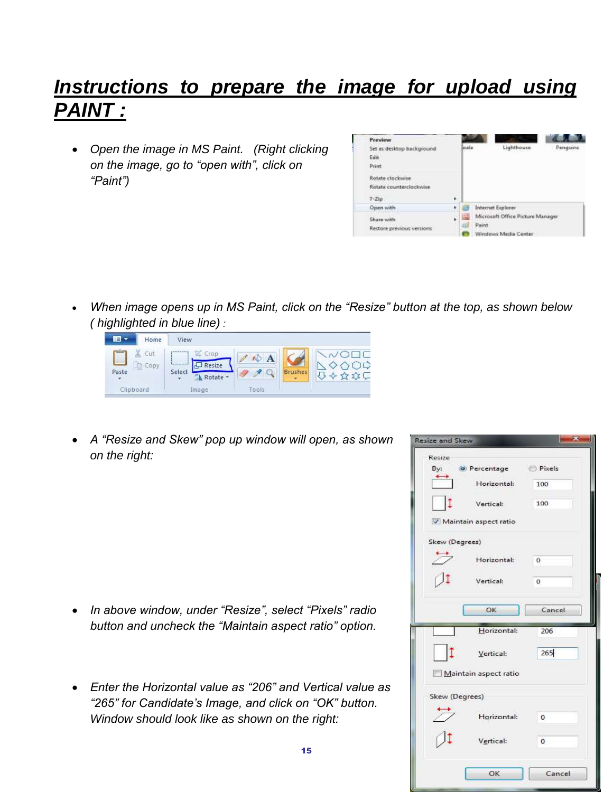# *Instructions to prepare the image for upload using PAINT :*

• *Open the image in MS Paint. (Right clicking on the image, go to "open with", click on "Paint")*

| Preview                   |   |       |                                  |          |
|---------------------------|---|-------|----------------------------------|----------|
| Set as desktop background |   | cala  | Lighthouse.                      | Penguins |
| Edit                      |   |       |                                  |          |
| Print                     |   |       |                                  |          |
| Rotate clockwise          |   |       |                                  |          |
| Rotate counterclockwise   |   |       |                                  |          |
| $T - Z/\rho$              | ٠ |       |                                  |          |
| Open with                 |   |       | Internet Explorer                |          |
| Share with                | ٠ | 福     | Microsoft Office Picture Manager |          |
| Restore previous versions |   | Paint |                                  |          |
|                           |   |       | Windows Media Center             |          |

• *When image opens up in MS Paint, click on the "Resize" button at the top, as shown below ( highlighted in blue line) :*

| Ξ<br>Home                              | View  |                                              |       |                     |                        |
|----------------------------------------|-------|----------------------------------------------|-------|---------------------|------------------------|
| X<br>Cut<br><b>Copy</b><br>Paste<br>۳. | Selec | <b>Z</b> Crop<br>Resize<br>$r-1$<br>Rotate * |       | <b>Brushes</b><br>٠ | こ<br><b>START STAR</b> |
| Clipboard                              |       | Image.                                       | Tools |                     |                        |

• *A "Resize and Skew" pop up window will open, as shown on the right:*

- *In above window, under "Resize", select "Pixels" radio button and uncheck the "Maintain aspect ratio" option.*
- *Enter the Horizontal value as "206" and Vertical value as "265" for Candidate's Image, and click on "OK" button. Window should look like as shown on the right:*